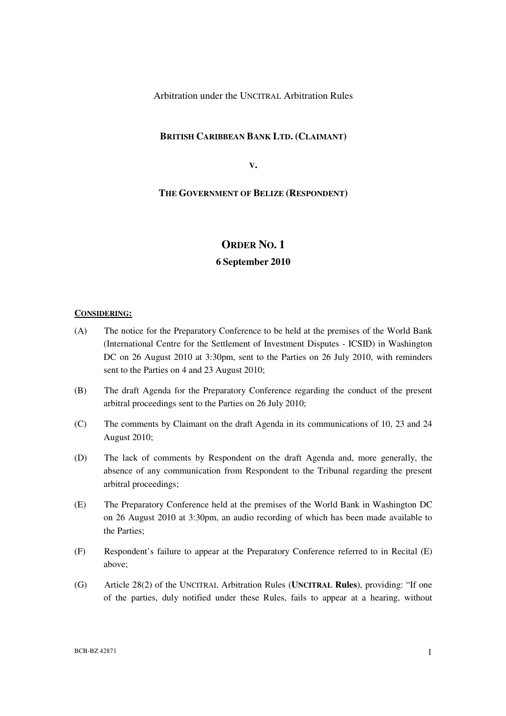Arbitration under the UNCITRAL Arbitration Rules

## **BRITISH CARIBBEAN BANK LTD. (CLAIMANT)**

**V.**

## **THE GOVERNMENT OF BELIZE (RESPONDENT)**

# **ORDER NO. 1**

## **6 September 2010**

## **CONSIDERING:**

- (A) The notice for the Preparatory Conference to be held at the premises of the World Bank (International Centre for the Settlement of Investment Disputes - ICSID) in Washington DC on 26 August 2010 at 3:30pm, sent to the Parties on 26 July 2010, with reminders sent to the Parties on 4 and 23 August 2010;
- (B) The draft Agenda for the Preparatory Conference regarding the conduct of the present arbitral proceedings sent to the Parties on 26 July 2010;
- (C) The comments by Claimant on the draft Agenda in its communications of 10, 23 and 24 August 2010;
- (D) The lack of comments by Respondent on the draft Agenda and, more generally, the absence of any communication from Respondent to the Tribunal regarding the present arbitral proceedings;
- (E) The Preparatory Conference held at the premises of the World Bank in Washington DC on 26 August 2010 at 3:30pm, an audio recording of which has been made available to the Parties;
- (F) Respondent's failure to appear at the Preparatory Conference referred to in Recital (E) above;
- (G) Article 28(2) of the UNCITRAL Arbitration Rules (**UNCITRAL Rules**), providing: "If one of the parties, duly notified under these Rules, fails to appear at a hearing, without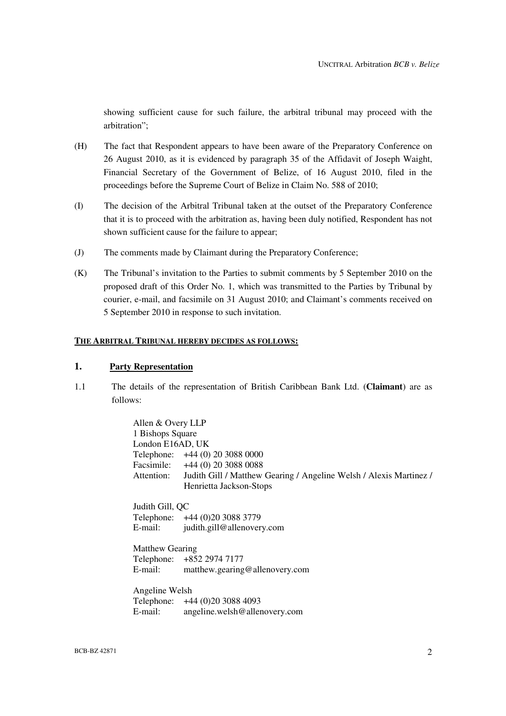showing sufficient cause for such failure, the arbitral tribunal may proceed with the arbitration";

- (H) The fact that Respondent appears to have been aware of the Preparatory Conference on 26 August 2010, as it is evidenced by paragraph 35 of the Affidavit of Joseph Waight, Financial Secretary of the Government of Belize, of 16 August 2010, filed in the proceedings before the Supreme Court of Belize in Claim No. 588 of 2010;
- (I) The decision of the Arbitral Tribunal taken at the outset of the Preparatory Conference that it is to proceed with the arbitration as, having been duly notified, Respondent has not shown sufficient cause for the failure to appear;
- (J) The comments made by Claimant during the Preparatory Conference;
- (K) The Tribunal's invitation to the Parties to submit comments by 5 September 2010 on the proposed draft of this Order No. 1, which was transmitted to the Parties by Tribunal by courier, e-mail, and facsimile on 31 August 2010; and Claimant's comments received on 5 September 2010 in response to such invitation.

#### **THE ARBITRAL TRIBUNAL HEREBY DECIDES AS FOLLOWS:**

## **1. Party Representation**

1.1 The details of the representation of British Caribbean Bank Ltd. (**Claimant**) are as follows:

> Allen & Overy LLP 1 Bishops Square London E16AD, UK Telephone: +44 (0) 20 3088 0000 Facsimile: +44 (0) 20 3088 0088 Attention: Judith Gill / Matthew Gearing / Angeline Welsh / Alexis Martinez / Henrietta Jackson-Stops Judith Gill, QC Telephone: +44 (0)20 3088 3779

E-mail: judith.gill@allenovery.com

Matthew Gearing Telephone: +852 2974 7177 E-mail: matthew.gearing@allenovery.com

Angeline Welsh Telephone: +44 (0)20 3088 4093 E-mail: angeline.welsh@allenovery.com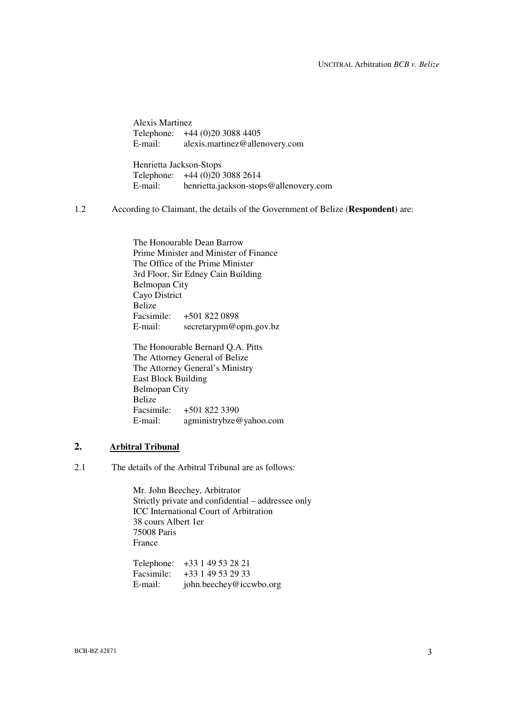Alexis Martinez Telephone:  $+44 (0)20 3088 4405$ <br>E-mail: alexis.martinez@aller alexis.martinez@allenovery.com

Henrietta Jackson-Stops Telephone: +44 (0)20 3088 2614 E-mail: henrietta.jackson-stops@allenovery.com

1.2 According to Claimant, the details of the Government of Belize (**Respondent**) are:

The Honourable Dean Barrow Prime Minister and Minister of Finance The Office of the Prime Minister 3rd Floor, Sir Edney Cain Building Belmopan City Cayo District Belize<br>Facsimile: Facsimile: +501 822 0898 E-mail: secretarypm@opm.gov.bz

The Honourable Bernard Q.A. Pitts The Attorney General of Belize The Attorney General's Ministry East Block Building Belmopan City Belize Facsimile: +501 822 3390 E-mail: agministrybze@yahoo.com

## **2. Arbitral Tribunal**

2.1 The details of the Arbitral Tribunal are as follows:

Mr. John Beechey, Arbitrator Strictly private and confidential – addressee only ICC International Court of Arbitration 38 cours Albert 1er 75008 Paris France

Telephone: +33 1 49 53 28 21 Facsimile:  $+33149532933$ <br>E-mail:  $\frac{\text{iohn.}}{\text{beh.} \cdot \text{heechev@} \cdot \text{ice}}$ john.beechey@iccwbo.org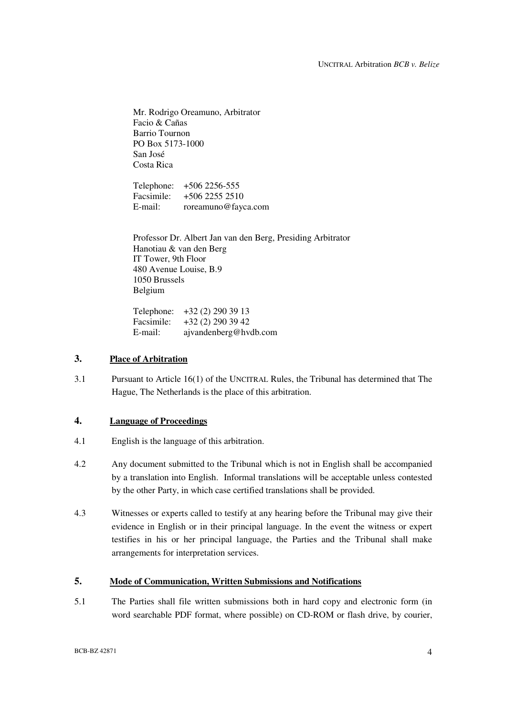Mr. Rodrigo Oreamuno, Arbitrator Facio & Cañas Barrio Tournon PO Box 5173-1000 San José Costa Rica

Telephone: +506 2256-555 Facsimile: +506 2255 2510 E-mail: roreamuno@fayca.com

Professor Dr. Albert Jan van den Berg, Presiding Arbitrator Hanotiau & van den Berg IT Tower, 9th Floor 480 Avenue Louise, B.9 1050 Brussels Belgium

Telephone: +32 (2) 290 39 13 Facsimile: +32 (2) 290 39 42 E-mail: ajvandenberg@hvdb.com

## **3. Place of Arbitration**

3.1 Pursuant to Article 16(1) of the UNCITRAL Rules, the Tribunal has determined that The Hague, The Netherlands is the place of this arbitration.

## **4. Language of Proceedings**

- 4.1 English is the language of this arbitration.
- 4.2 Any document submitted to the Tribunal which is not in English shall be accompanied by a translation into English. Informal translations will be acceptable unless contested by the other Party, in which case certified translations shall be provided.
- 4.3 Witnesses or experts called to testify at any hearing before the Tribunal may give their evidence in English or in their principal language. In the event the witness or expert testifies in his or her principal language, the Parties and the Tribunal shall make arrangements for interpretation services.

# **5. Mode of Communication, Written Submissions and Notifications**

5.1 The Parties shall file written submissions both in hard copy and electronic form (in word searchable PDF format, where possible) on CD-ROM or flash drive, by courier,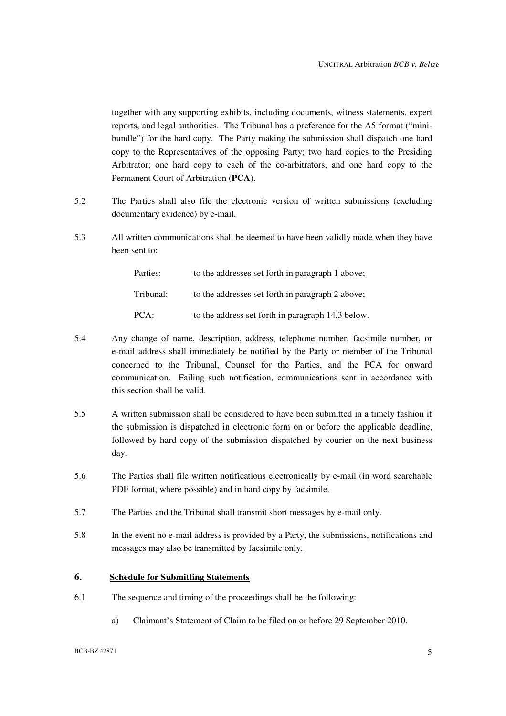together with any supporting exhibits, including documents, witness statements, expert reports, and legal authorities. The Tribunal has a preference for the A5 format ("minibundle") for the hard copy. The Party making the submission shall dispatch one hard copy to the Representatives of the opposing Party; two hard copies to the Presiding Arbitrator; one hard copy to each of the co-arbitrators, and one hard copy to the Permanent Court of Arbitration (**PCA**).

- 5.2 The Parties shall also file the electronic version of written submissions (excluding documentary evidence) by e-mail.
- 5.3 All written communications shall be deemed to have been validly made when they have been sent to:

| Parties:  | to the addresses set forth in paragraph 1 above;  |
|-----------|---------------------------------------------------|
| Tribunal: | to the addresses set forth in paragraph 2 above;  |
| PCA:      | to the address set forth in paragraph 14.3 below. |

- 5.4 Any change of name, description, address, telephone number, facsimile number, or e-mail address shall immediately be notified by the Party or member of the Tribunal concerned to the Tribunal, Counsel for the Parties, and the PCA for onward communication. Failing such notification, communications sent in accordance with this section shall be valid.
- 5.5 A written submission shall be considered to have been submitted in a timely fashion if the submission is dispatched in electronic form on or before the applicable deadline, followed by hard copy of the submission dispatched by courier on the next business day.
- 5.6 The Parties shall file written notifications electronically by e-mail (in word searchable PDF format, where possible) and in hard copy by facsimile.
- 5.7 The Parties and the Tribunal shall transmit short messages by e-mail only.
- 5.8 In the event no e-mail address is provided by a Party, the submissions, notifications and messages may also be transmitted by facsimile only.

## **6. Schedule for Submitting Statements**

- 6.1 The sequence and timing of the proceedings shall be the following:
	- a) Claimant's Statement of Claim to be filed on or before 29 September 2010.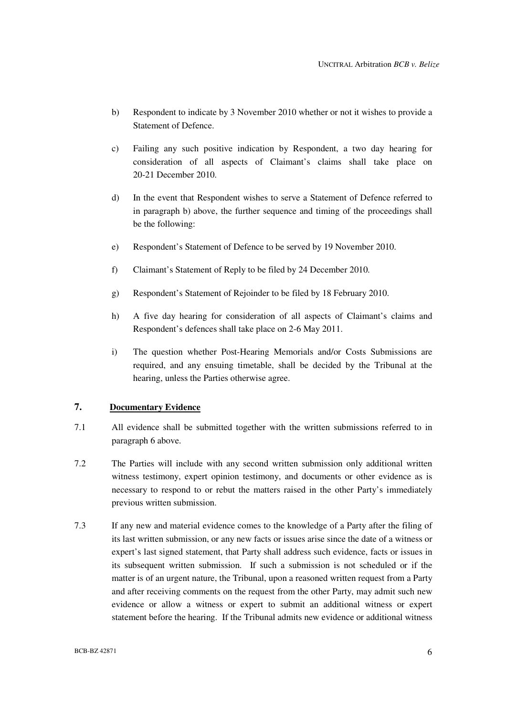- b) Respondent to indicate by 3 November 2010 whether or not it wishes to provide a Statement of Defence.
- c) Failing any such positive indication by Respondent, a two day hearing for consideration of all aspects of Claimant's claims shall take place on 20-21 December 2010.
- d) In the event that Respondent wishes to serve a Statement of Defence referred to in paragraph b) above, the further sequence and timing of the proceedings shall be the following:
- e) Respondent's Statement of Defence to be served by 19 November 2010.
- f) Claimant's Statement of Reply to be filed by 24 December 2010.
- g) Respondent's Statement of Rejoinder to be filed by 18 February 2010.
- h) A five day hearing for consideration of all aspects of Claimant's claims and Respondent's defences shall take place on 2-6 May 2011.
- i) The question whether Post-Hearing Memorials and/or Costs Submissions are required, and any ensuing timetable, shall be decided by the Tribunal at the hearing, unless the Parties otherwise agree.

# **7. Documentary Evidence**

- 7.1 All evidence shall be submitted together with the written submissions referred to in paragraph 6 above.
- 7.2 The Parties will include with any second written submission only additional written witness testimony, expert opinion testimony, and documents or other evidence as is necessary to respond to or rebut the matters raised in the other Party's immediately previous written submission.
- 7.3 If any new and material evidence comes to the knowledge of a Party after the filing of its last written submission, or any new facts or issues arise since the date of a witness or expert's last signed statement, that Party shall address such evidence, facts or issues in its subsequent written submission. If such a submission is not scheduled or if the matter is of an urgent nature, the Tribunal, upon a reasoned written request from a Party and after receiving comments on the request from the other Party, may admit such new evidence or allow a witness or expert to submit an additional witness or expert statement before the hearing. If the Tribunal admits new evidence or additional witness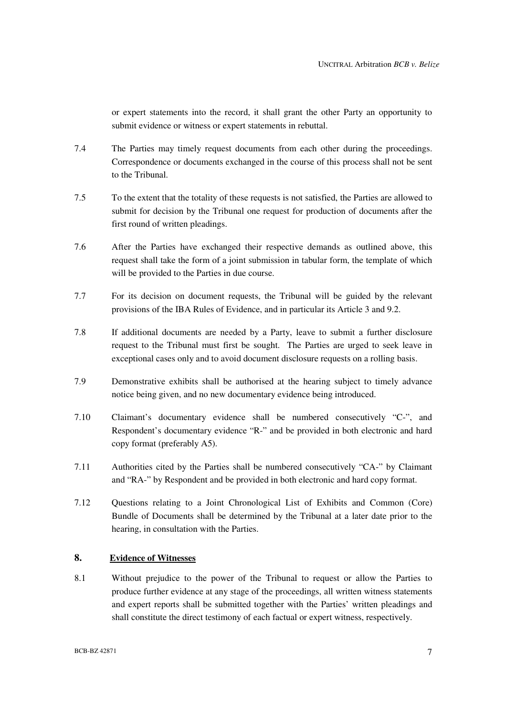or expert statements into the record, it shall grant the other Party an opportunity to submit evidence or witness or expert statements in rebuttal.

- 7.4 The Parties may timely request documents from each other during the proceedings. Correspondence or documents exchanged in the course of this process shall not be sent to the Tribunal.
- 7.5 To the extent that the totality of these requests is not satisfied, the Parties are allowed to submit for decision by the Tribunal one request for production of documents after the first round of written pleadings.
- 7.6 After the Parties have exchanged their respective demands as outlined above, this request shall take the form of a joint submission in tabular form, the template of which will be provided to the Parties in due course.
- 7.7 For its decision on document requests, the Tribunal will be guided by the relevant provisions of the IBA Rules of Evidence, and in particular its Article 3 and 9.2.
- 7.8 If additional documents are needed by a Party, leave to submit a further disclosure request to the Tribunal must first be sought. The Parties are urged to seek leave in exceptional cases only and to avoid document disclosure requests on a rolling basis.
- 7.9 Demonstrative exhibits shall be authorised at the hearing subject to timely advance notice being given, and no new documentary evidence being introduced.
- 7.10 Claimant's documentary evidence shall be numbered consecutively "C-", and Respondent's documentary evidence "R-" and be provided in both electronic and hard copy format (preferably A5).
- 7.11 Authorities cited by the Parties shall be numbered consecutively "CA-" by Claimant and "RA-" by Respondent and be provided in both electronic and hard copy format.
- 7.12 Questions relating to a Joint Chronological List of Exhibits and Common (Core) Bundle of Documents shall be determined by the Tribunal at a later date prior to the hearing, in consultation with the Parties.

# **8. Evidence of Witnesses**

8.1 Without prejudice to the power of the Tribunal to request or allow the Parties to produce further evidence at any stage of the proceedings, all written witness statements and expert reports shall be submitted together with the Parties' written pleadings and shall constitute the direct testimony of each factual or expert witness, respectively.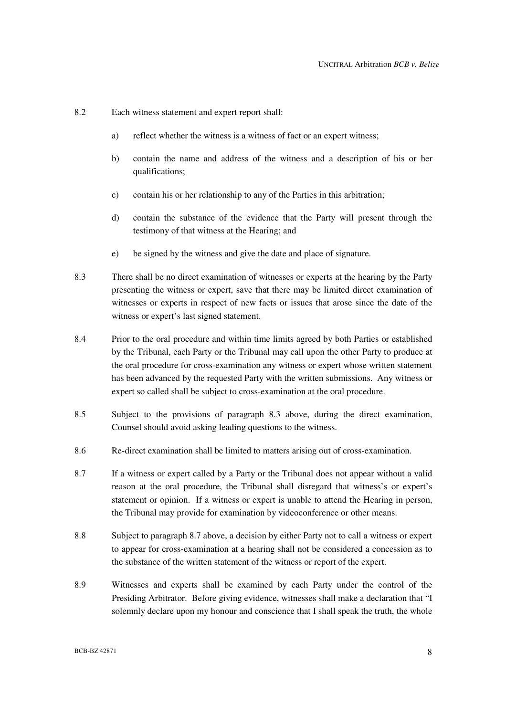- 8.2 Each witness statement and expert report shall:
	- a) reflect whether the witness is a witness of fact or an expert witness;
	- b) contain the name and address of the witness and a description of his or her qualifications;
	- c) contain his or her relationship to any of the Parties in this arbitration;
	- d) contain the substance of the evidence that the Party will present through the testimony of that witness at the Hearing; and
	- e) be signed by the witness and give the date and place of signature.
- 8.3 There shall be no direct examination of witnesses or experts at the hearing by the Party presenting the witness or expert, save that there may be limited direct examination of witnesses or experts in respect of new facts or issues that arose since the date of the witness or expert's last signed statement.
- 8.4 Prior to the oral procedure and within time limits agreed by both Parties or established by the Tribunal, each Party or the Tribunal may call upon the other Party to produce at the oral procedure for cross-examination any witness or expert whose written statement has been advanced by the requested Party with the written submissions. Any witness or expert so called shall be subject to cross-examination at the oral procedure.
- 8.5 Subject to the provisions of paragraph 8.3 above, during the direct examination, Counsel should avoid asking leading questions to the witness.
- 8.6 Re-direct examination shall be limited to matters arising out of cross-examination.
- 8.7 If a witness or expert called by a Party or the Tribunal does not appear without a valid reason at the oral procedure, the Tribunal shall disregard that witness's or expert's statement or opinion. If a witness or expert is unable to attend the Hearing in person, the Tribunal may provide for examination by videoconference or other means.
- 8.8 Subject to paragraph 8.7 above, a decision by either Party not to call a witness or expert to appear for cross-examination at a hearing shall not be considered a concession as to the substance of the written statement of the witness or report of the expert.
- 8.9 Witnesses and experts shall be examined by each Party under the control of the Presiding Arbitrator. Before giving evidence, witnesses shall make a declaration that "I solemnly declare upon my honour and conscience that I shall speak the truth, the whole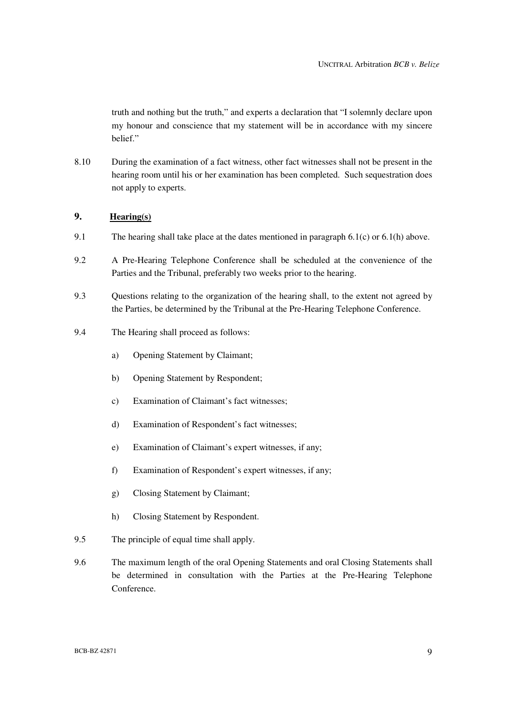truth and nothing but the truth," and experts a declaration that "I solemnly declare upon my honour and conscience that my statement will be in accordance with my sincere belief."

8.10 During the examination of a fact witness, other fact witnesses shall not be present in the hearing room until his or her examination has been completed. Such sequestration does not apply to experts.

# **9. Hearing(s)**

- 9.1 The hearing shall take place at the dates mentioned in paragraph 6.1(c) or 6.1(h) above.
- 9.2 A Pre-Hearing Telephone Conference shall be scheduled at the convenience of the Parties and the Tribunal, preferably two weeks prior to the hearing.
- 9.3 Questions relating to the organization of the hearing shall, to the extent not agreed by the Parties, be determined by the Tribunal at the Pre-Hearing Telephone Conference.
- 9.4 The Hearing shall proceed as follows:
	- a) Opening Statement by Claimant;
	- b) Opening Statement by Respondent;
	- c) Examination of Claimant's fact witnesses;
	- d) Examination of Respondent's fact witnesses;
	- e) Examination of Claimant's expert witnesses, if any;
	- f) Examination of Respondent's expert witnesses, if any;
	- g) Closing Statement by Claimant;
	- h) Closing Statement by Respondent.
- 9.5 The principle of equal time shall apply.
- 9.6 The maximum length of the oral Opening Statements and oral Closing Statements shall be determined in consultation with the Parties at the Pre-Hearing Telephone Conference.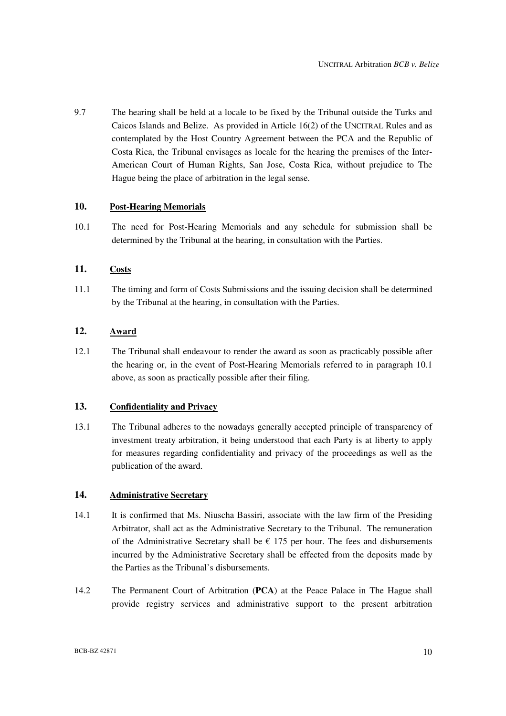9.7 The hearing shall be held at a locale to be fixed by the Tribunal outside the Turks and Caicos Islands and Belize. As provided in Article 16(2) of the UNCITRAL Rules and as contemplated by the Host Country Agreement between the PCA and the Republic of Costa Rica, the Tribunal envisages as locale for the hearing the premises of the Inter-American Court of Human Rights, San Jose, Costa Rica, without prejudice to The Hague being the place of arbitration in the legal sense.

## **10. Post-Hearing Memorials**

10.1 The need for Post-Hearing Memorials and any schedule for submission shall be determined by the Tribunal at the hearing, in consultation with the Parties.

## **11. Costs**

11.1 The timing and form of Costs Submissions and the issuing decision shall be determined by the Tribunal at the hearing, in consultation with the Parties.

# **12. Award**

12.1 The Tribunal shall endeavour to render the award as soon as practicably possible after the hearing or, in the event of Post-Hearing Memorials referred to in paragraph 10.1 above, as soon as practically possible after their filing.

## **13. Confidentiality and Privacy**

13.1 The Tribunal adheres to the nowadays generally accepted principle of transparency of investment treaty arbitration, it being understood that each Party is at liberty to apply for measures regarding confidentiality and privacy of the proceedings as well as the publication of the award.

## **14. Administrative Secretary**

- 14.1 It is confirmed that Ms. Niuscha Bassiri, associate with the law firm of the Presiding Arbitrator, shall act as the Administrative Secretary to the Tribunal. The remuneration of the Administrative Secretary shall be  $\epsilon$  175 per hour. The fees and disbursements incurred by the Administrative Secretary shall be effected from the deposits made by the Parties as the Tribunal's disbursements.
- 14.2 The Permanent Court of Arbitration (**PCA**) at the Peace Palace in The Hague shall provide registry services and administrative support to the present arbitration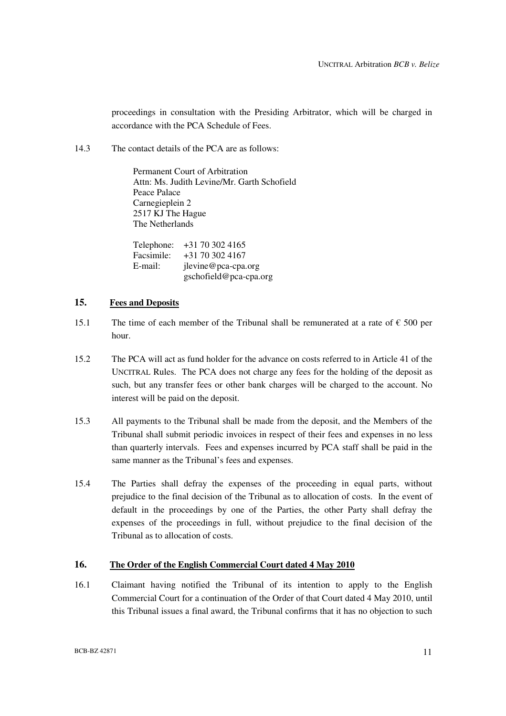proceedings in consultation with the Presiding Arbitrator, which will be charged in accordance with the PCA Schedule of Fees.

14.3 The contact details of the PCA are as follows:

Permanent Court of Arbitration Attn: Ms. Judith Levine/Mr. Garth Schofield Peace Palace Carnegieplein 2 2517 KJ The Hague The Netherlands

Telephone: +31 70 302 4165 Facsimile: +31 70 302 4167 E-mail: jlevine@pca-cpa.org gschofield@pca-cpa.org

## **15. Fees and Deposits**

- 15.1 The time of each member of the Tribunal shall be remunerated at a rate of  $\epsilon$  500 per hour.
- 15.2 The PCA will act as fund holder for the advance on costs referred to in Article 41 of the UNCITRAL Rules. The PCA does not charge any fees for the holding of the deposit as such, but any transfer fees or other bank charges will be charged to the account. No interest will be paid on the deposit.
- 15.3 All payments to the Tribunal shall be made from the deposit, and the Members of the Tribunal shall submit periodic invoices in respect of their fees and expenses in no less than quarterly intervals. Fees and expenses incurred by PCA staff shall be paid in the same manner as the Tribunal's fees and expenses.
- 15.4 The Parties shall defray the expenses of the proceeding in equal parts, without prejudice to the final decision of the Tribunal as to allocation of costs. In the event of default in the proceedings by one of the Parties, the other Party shall defray the expenses of the proceedings in full, without prejudice to the final decision of the Tribunal as to allocation of costs.

## **16. The Order of the English Commercial Court dated 4 May 2010**

16.1 Claimant having notified the Tribunal of its intention to apply to the English Commercial Court for a continuation of the Order of that Court dated 4 May 2010, until this Tribunal issues a final award, the Tribunal confirms that it has no objection to such